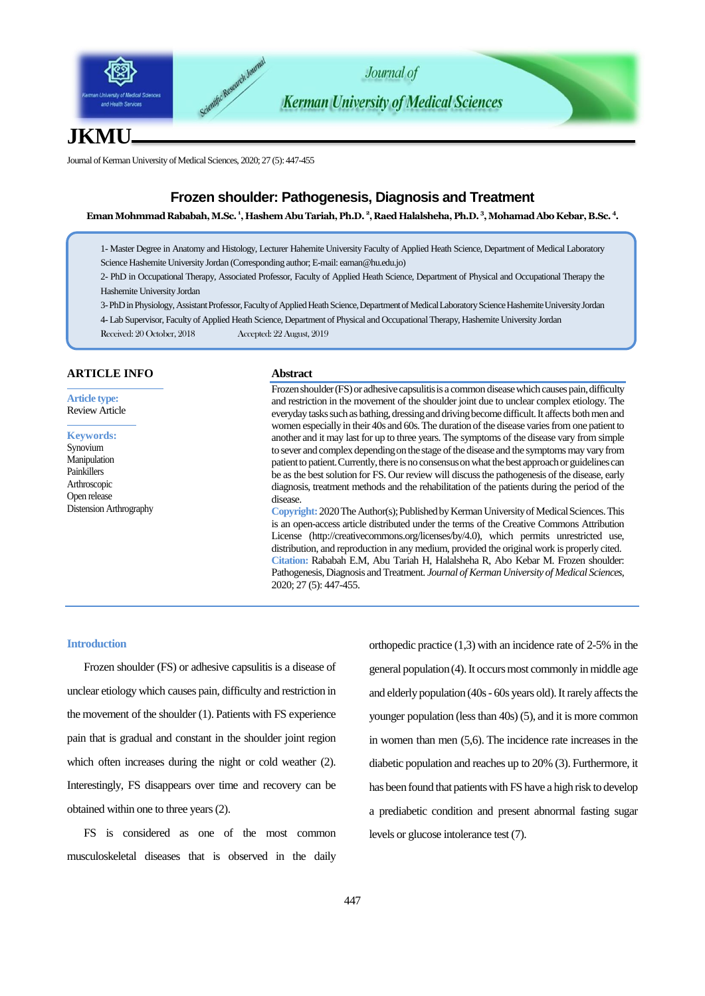

# **JKMU**

Journal of Kerman University of Medical Sciences, 2020; 27 (5): 447-455

## **Frozen shoulder: Pathogenesis, Diagnosis and Treatment**

**Eman Mohmmad Rababah,M.Sc. 1 , Hashem Abu Tariah, Ph.D. 2 [, Raed Halalsheha](https://hu.edu.jo/fac/dept/Faculty_list.aspx), Ph.D. 3 , Mohamad Abo Kebar,B.Sc. 4 .**

1- Master Degree in Anatomy and Histology, Lecturer Hahemite University Faculty of Applied Heath Science, Department of Medical Laboratory Science Hashemite University Jordan (Corresponding author; E-mail: eaman@hu.edu.jo)

2- PhD in Occupational Therapy, Associated Professor, Faculty of Applied Heath Science, Department of Physical and Occupational Therapy the Hashemite University Jordan

3-PhD in Physiology, Assistant Professor, Faculty of Applied Heath Science, Department of Medical Laboratory Science Hashemite University Jordan

4- Lab Supervisor, Faculty of Applied Heath Science, Department of Physical and Occupational Therapy, Hashemite University Jordan

Received: 20 October, 2018 Accepted: 22 August, 2019

### **ARTICLE INFO**

**Article type:** Review Article

**Keywords:** Synovium Manipulation Painkillers Arthroscopic Open release Distension Arthrography

#### **Abstract**

Frozen shoulder (FS) or adhesive capsulitis is a common disease which causes pain, difficulty and restriction in the movement of the shoulder joint due to unclear complex etiology. The everyday tasks such as bathing, dressing and driving become difficult. It affects both men and women especially in their 40s and 60s. The duration of the disease varies from one patient to another and it may last for up to three years. The symptoms of the disease vary from simple to sever and complex depending on the stage of the disease and the symptoms may vary from patient to patient. Currently, there is no consensus on what the best approach or guidelines can be as the best solution for FS. Our review will discuss the pathogenesis of the disease, early diagnosis, treatment methods and the rehabilitation of the patients during the period of the disease.

**Copyright:** 2020The Author(s); Published by Kerman University of Medical Sciences. This is an open-access article distributed under the terms of the Creative Commons Attribution License (http://creativecommons.org/licenses/by/4.0), which permits unrestricted use, distribution, and reproduction in any medium, provided the original work is properly cited. **Citation:** Rababah E.M, Abu Tariah H, [Halalsheha](https://hu.edu.jo/fac/dept/Faculty_list.aspx) R, Abo Kebar M. Frozen shoulder: Pathogenesis, Diagnosis and Treatment. *Journal of Kerman University of Medical Sciences*, 2020; 27 (5): 447-455.

#### **Introduction**

Frozen shoulder (FS) or adhesive capsulitis is a disease of unclear etiology which causes pain, difficulty and restriction in the movement of the shoulder (1). Patients with FS experience pain that is gradual and constant in the shoulder joint region which often increases during the night or cold weather (2). Interestingly, FS disappears over time and recovery can be obtained within one to three years (2).

FS is considered as one of the most common musculoskeletal diseases that is observed in the daily

orthopedic practice (1,3) with an incidence rate of 2-5% in the general population (4). It occurs most commonly in middle age and elderly population (40s - 60s years old). It rarely affects the younger population (less than 40s) (5), and it is more common in women than men (5,6). The incidence rate increases in the diabetic population and reaches up to 20% (3). Furthermore, it has been found that patients with FS have a high risk to develop a prediabetic condition and present abnormal fasting sugar levels or glucose intolerance test (7).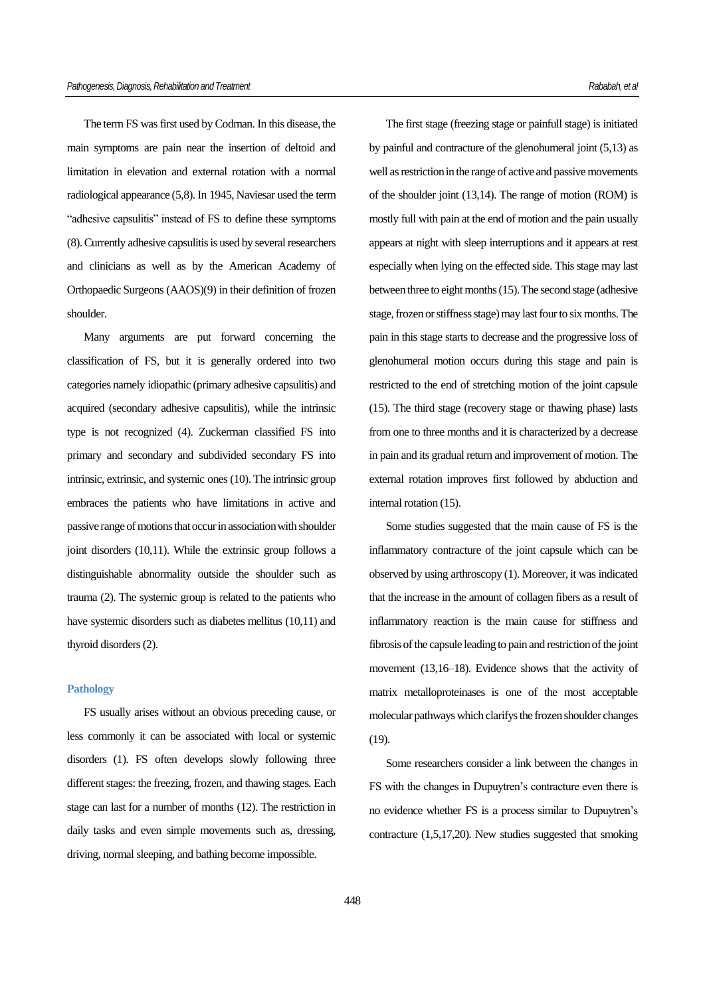The term FS was first used by Codman. In this disease, the main symptoms are pain near the insertion of deltoid and limitation in elevation and external rotation with a normal radiological appearance (5,8). In 1945, Naviesar used the term "adhesive capsulitis" instead of FS to define these symptoms (8). Currently adhesive capsulitis is used by several researchers and clinicians as well as by the American Academy of Orthopaedic Surgeons (AAOS)(9) in their definition of frozen shoulder.

Many arguments are put forward concerning the classification of FS, but it is generally ordered into two categories namely idiopathic (primary adhesive capsulitis) and acquired (secondary adhesive capsulitis), while the intrinsic type is not recognized (4). Zuckerman classified FS into primary and secondary and subdivided secondary FS into intrinsic, extrinsic, and systemic ones (10). The intrinsic group embraces the patients who have limitations in active and passive range of motions that occur in association with shoulder joint disorders (10,11). While the extrinsic group follows a distinguishable abnormality outside the shoulder such as trauma (2). The systemic group is related to the patients who have systemic disorders such as diabetes mellitus (10,11) and thyroid disorders (2).

#### **Pathology**

FS usually arises without an obvious preceding cause, or less commonly it can be associated with local or systemic disorders (1). FS often develops slowly following three different stages: the freezing, frozen, and thawing stages. Each stage can last for a number of months (12). The restriction in daily tasks and even simple movements such as, dressing, driving, normal sleeping, and bathing become impossible.

The first stage (freezing stage or painfull stage) is initiated by painful and contracture of the glenohumeral joint (5,13) as well as restriction in the range of active and passive movements of the shoulder joint (13,14). The range of motion (ROM) is mostly full with pain at the end of motion and the pain usually appears at night with sleep interruptions and it appears at rest especially when lying on the effected side. This stage may last between three to eight months (15). The second stage (adhesive stage, frozen or stiffness stage) may last four to six months. The pain in this stage starts to decrease and the progressive loss of glenohumeral motion occurs during this stage and pain is restricted to the end of stretching motion of the joint capsule (15). The third stage (recovery stage or thawing phase) lasts from one to three months and it is characterized by a decrease in pain and its gradual return and improvement of motion. The external rotation improves first followed by abduction and internal rotation (15).

Some studies suggested that the main cause of FS is the inflammatory contracture of the joint capsule which can be observed by using arthroscopy (1). Moreover, it was indicated that the increase in the amount of collagen fibers as a result of inflammatory reaction is the main cause for stiffness and fibrosis of the capsule leading to pain and restriction of the joint movement (13,16–18). Evidence shows that the activity of matrix metalloproteinases is one of the most acceptable molecular pathways which clarifys the frozen shoulder changes (19).

Some researchers consider a link between the changes in FS with the changes in Dupuytren's contracture even there is no evidence whether FS is a process similar to Dupuytren's contracture (1,5,17,20). New studies suggested that smoking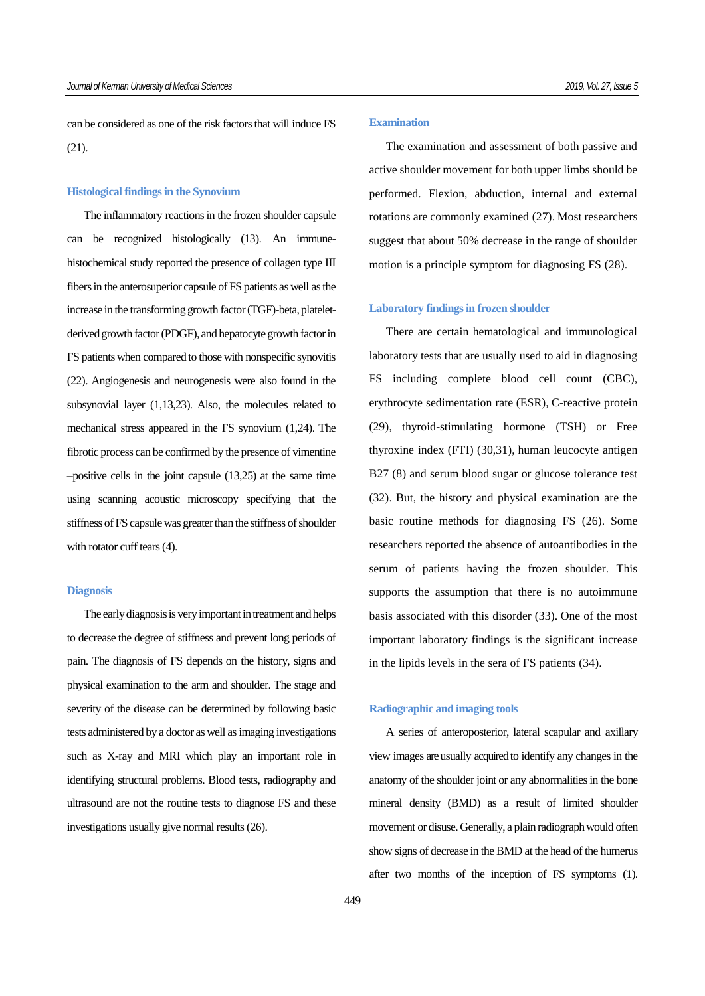can be considered as one of the risk factors that will induce FS (21).

#### **Histological findings in the Synovium**

The inflammatory reactions in the frozen shoulder capsule can be recognized histologically (13). An immunehistochemical study reported the presence of collagen type III fibers in the anterosuperior capsule of FS patients as well as the increase in the transforming growth factor (TGF)-beta, plateletderived growth factor (PDGF), and hepatocyte growth factor in FS patients when compared to those with nonspecific synovitis (22). Angiogenesis and neurogenesis were also found in the subsynovial layer (1,13,23). Also, the molecules related to mechanical stress appeared in the FS synovium (1,24). The fibrotic process can be confirmed by the presence of vimentine –positive cells in the joint capsule (13,25) at the same time using scanning acoustic microscopy specifying that the stiffness of FS capsule was greater than the stiffness of shoulder with rotator cuff tears  $(4)$ .

#### **Diagnosis**

The early diagnosis is very important in treatment and helps to decrease the degree of stiffness and prevent long periods of pain. The diagnosis of FS depends on the history, signs and physical examination to the arm and shoulder. The stage and severity of the disease can be determined by following basic tests administered by a doctor as well as imaging investigations such as X-ray and MRI which play an important role in identifying structural problems. Blood tests, radiography and ultrasound are not the routine tests to diagnose FS and these investigations usually give normal results (26).

## **Examination**

The examination and assessment of both passive and active shoulder movement for both upper limbs should be performed. Flexion, abduction, internal and external rotations are commonly examined (27). Most researchers suggest that about 50% decrease in the range of shoulder motion is a principle symptom for diagnosing FS (28).

#### **Laboratory findings in frozen shoulder**

There are certain hematological and immunological laboratory tests that are usually used to aid in diagnosing FS including complete blood cell count (CBC), erythrocyte sedimentation rate (ESR), C-reactive protein (29), thyroid-stimulating hormone (TSH) or Free thyroxine index (FTI) (30,31), human leucocyte antigen B27 (8) and serum blood sugar or glucose tolerance test (32). But, the history and physical examination are the basic routine methods for diagnosing FS (26). Some researchers reported the absence of autoantibodies in the serum of patients having the frozen shoulder. This supports the assumption that there is no autoimmune basis associated with this disorder (33). One of the most important laboratory findings is the significant increase in the lipids levels in the sera of FS patients (34).

### **Radiographic and imaging tools**

A series of anteroposterior, lateral scapular and axillary view images are usually acquired to identify any changes in the anatomy of the shoulder joint or any abnormalities in the bone mineral density (BMD) as a result of limited shoulder movement or disuse. Generally, a plain radiograph would often show signs of decrease in the BMD at the head of the humerus after two months of the inception of FS symptoms (1).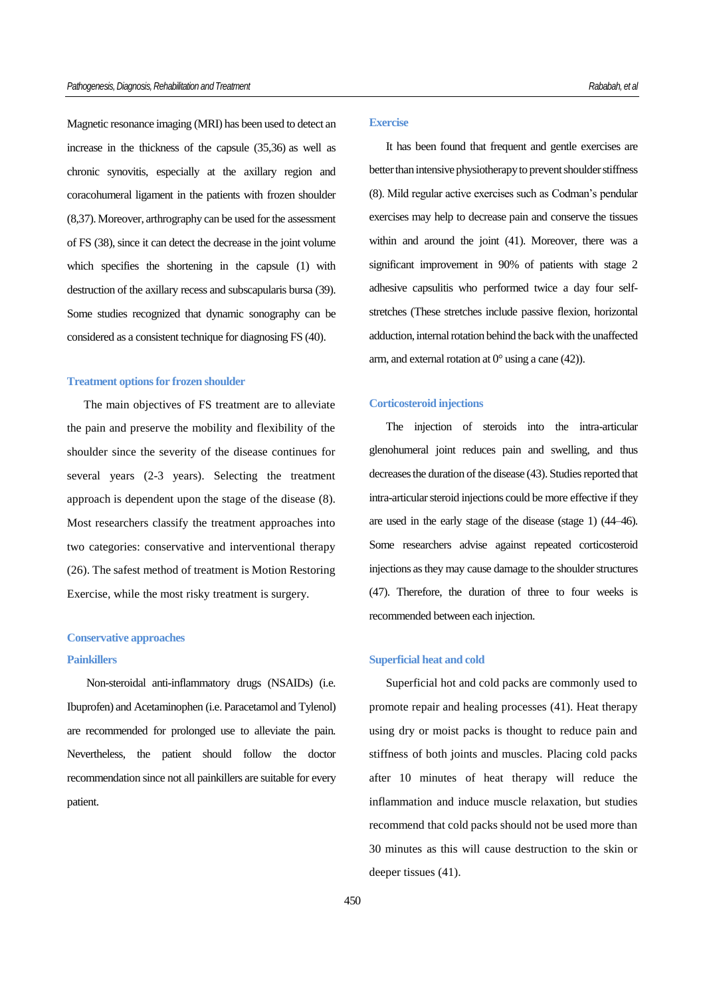Magnetic resonance imaging (MRI) has been used to detect an increase in the thickness of the capsule (35,36) as well as chronic synovitis, especially at the axillary region and coracohumeral ligament in the patients with frozen shoulder (8,37). Moreover, arthrography can be used for the assessment of FS (38), since it can detect the decrease in the joint volume which specifies the shortening in the capsule (1) with destruction of the axillary recess and subscapularis bursa (39). Some studies recognized that dynamic sonography can be considered as a consistent technique for diagnosing FS (40).

## **Treatment options for frozen shoulder**

The main objectives of FS treatment are to alleviate the pain and preserve the mobility and flexibility of the shoulder since the severity of the disease continues for several years (2-3 years). Selecting the treatment approach is dependent upon the stage of the disease (8). Most researchers classify the treatment approaches into two categories: conservative and interventional therapy (26). The safest method of treatment is Motion Restoring Exercise, while the most risky treatment is surgery.

## **Conservative approaches Painkillers**

Non-steroidal anti-inflammatory drugs (NSAIDs) (i.e. Ibuprofen) and Acetaminophen (i.e. Paracetamol and Tylenol) are recommended for prolonged use to alleviate the pain. Nevertheless, the patient should follow the doctor recommendation since not all painkillers are suitable for every patient.

## **Exercise**

It has been found that frequent and gentle exercises are better than intensive physiotherapy to prevent shoulder stiffness (8). Mild regular active exercises such as Codman's pendular exercises may help to decrease pain and conserve the tissues within and around the joint (41). Moreover, there was a significant improvement in 90% of patients with stage 2 adhesive capsulitis who performed twice a day four selfstretches (These stretches include passive flexion, horizontal adduction, internal rotation behind the back with the unaffected arm, and external rotation at  $0^{\circ}$  using a cane (42)).

#### **Corticosteroid injections**

The injection of steroids into the intra-articular glenohumeral joint reduces pain and swelling, and thus decreases the duration of the disease (43). Studies reported that intra-articular steroid injections could be more effective if they are used in the early stage of the disease (stage 1) (44–46). Some researchers advise against repeated corticosteroid injections as they may cause damage to the shoulder structures (47). Therefore, the duration of three to four weeks is recommended between each injection.

#### **Superficial heat and cold**

Superficial hot and cold packs are commonly used to promote repair and healing processes (41). Heat therapy using dry or moist packs is thought to reduce pain and stiffness of both joints and muscles. Placing cold packs after 10 minutes of heat therapy will reduce the inflammation and induce muscle relaxation, but studies recommend that cold packs should not be used more than 30 minutes as this will cause destruction to the skin or deeper tissues (41).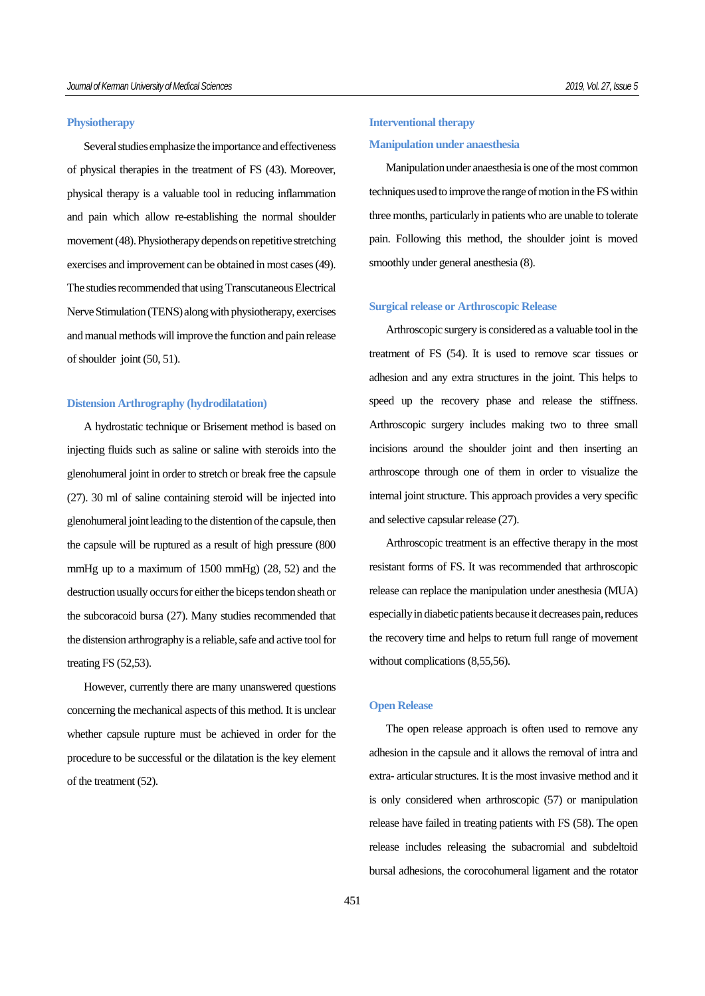## **Physiotherapy**

Several studies emphasize the importance and effectiveness of physical therapies in the treatment of FS (43). Moreover, physical therapy is a valuable tool in reducing inflammation and pain which allow re-establishing the normal shoulder movement (48). Physiotherapy depends on repetitive stretching exercises and improvement can be obtained in most cases (49). The studies recommended that using Transcutaneous Electrical Nerve Stimulation (TENS) along with physiotherapy, exercises and manual methodswill improve the function and pain release of shoulder joint (50, 51).

### **Distension Arthrography (hydrodilatation)**

A hydrostatic technique or Brisement method is based on injecting fluids such as saline or saline with steroids into the glenohumeral joint in order to stretch or break free the capsule (27). 30 ml of saline containing steroid will be injected into glenohumeral joint leading to the distention of the capsule, then the capsule will be ruptured as a result of high pressure (800 mmHg up to a maximum of 1500 mmHg) (28, 52) and the destruction usually occurs for either the biceps tendon sheath or the subcoracoid bursa (27). Many studies recommended that the distension arthrography is a reliable, safe and active tool for treating FS (52,53).

However, currently there are many unanswered questions concerning the mechanical aspects of this method. It is unclear whether capsule rupture must be achieved in order for the procedure to be successful or the dilatation is the key element of the treatment (52).

# **Interventional therapy Manipulation under anaesthesia**

Manipulation under anaesthesia is one of the most common techniques used to improve the range of motion in the FS within three months, particularly in patients who are unable to tolerate pain. Following this method, the shoulder joint is moved smoothly under general anesthesia (8).

#### **Surgical release or Arthroscopic Release**

Arthroscopic surgery is considered as a valuable tool in the treatment of FS (54). It is used to remove scar tissues or adhesion and any extra structures in the joint. This helps to speed up the recovery phase and release the stiffness. Arthroscopic surgery includes making two to three small incisions around the shoulder joint and then inserting an arthroscope through one of them in order to visualize the internal joint structure. This approach provides a very specific and selective capsular release (27).

Arthroscopic treatment is an effective therapy in the most resistant forms of FS. It was recommended that arthroscopic release can replace the manipulation under anesthesia (MUA) especially in diabetic patients because it decreases pain, reduces the recovery time and helps to return full range of movement without complications  $(8,55,56)$ .

#### **Open Release**

The open release approach is often used to remove any adhesion in the capsule and it allows the removal of intra and extra- articular structures. It is the most invasive method and it is only considered when arthroscopic (57) or manipulation release have failed in treating patients with FS (58). The open release includes releasing the subacromial and subdeltoid bursal adhesions, the corocohumeral ligament and the rotator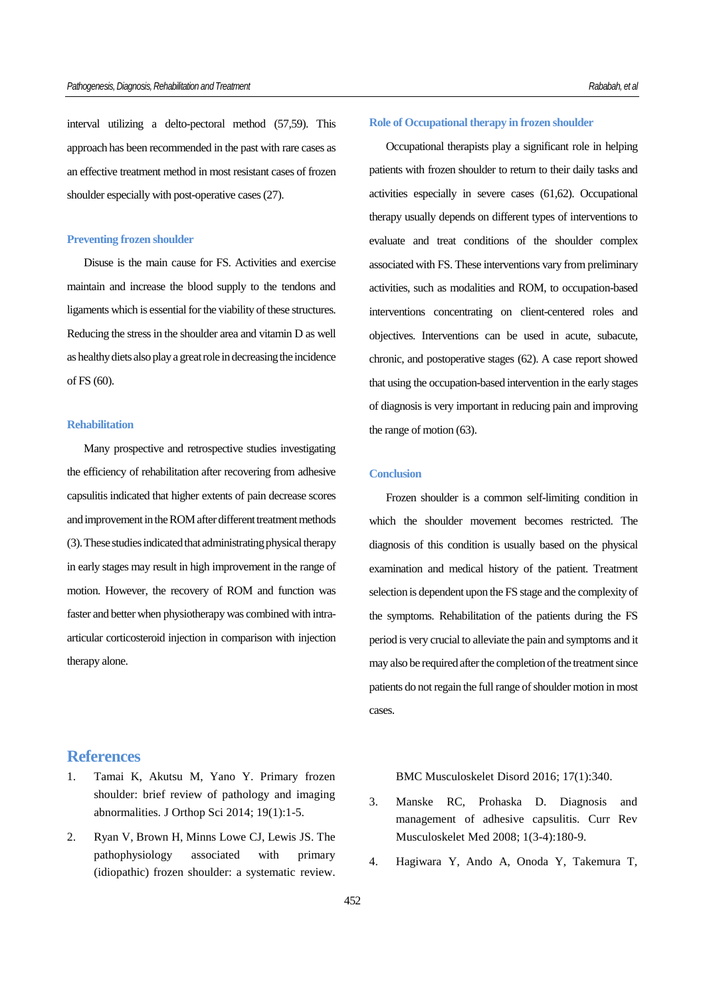interval utilizing a delto-pectoral method (57,59). This approach has been recommended in the past with rare cases as an effective treatment method in most resistant cases of frozen shoulder especially with post-operative cases (27).

## **Preventing frozen shoulder**

Disuse is the main cause for FS. Activities and exercise maintain and increase the blood supply to the tendons and ligaments which is essential for the viability of these structures. Reducing the stress in the shoulder area and vitamin D as well as healthy diets also play a great role in decreasing the incidence of FS (60).

## **Rehabilitation**

Many prospective and retrospective studies investigating the efficiency of rehabilitation after recovering from adhesive capsulitis indicated that higher extents of pain decrease scores and improvement in the ROM after different treatment methods (3). These studies indicated that administrating physical therapy in early stages may result in high improvement in the range of motion. However, the recovery of ROM and function was faster and better when physiotherapy was combined with intraarticular corticosteroid injection in comparison with injection therapy alone.

## **References**

- 1. Tamai K, Akutsu M, Yano Y. Primary frozen shoulder: brief review of pathology and imaging abnormalities. J Orthop Sci 2014; 19(1):1-5.
- 2. Ryan V, Brown H, Minns Lowe CJ, Lewis JS. The pathophysiology associated with primary (idiopathic) frozen shoulder: a systematic review.

## **Role of Occupational therapy in frozen shoulder**

Occupational therapists play a significant role in helping patients with frozen shoulder to return to their daily tasks and activities especially in severe cases (61,62). Occupational therapy usually depends on different types of interventions to evaluate and treat conditions of the shoulder complex associated with FS. These interventions vary from preliminary activities, such as modalities and ROM, to occupation-based interventions concentrating on client-centered roles and objectives. Interventions can be used in acute, subacute, chronic, and postoperative stages (62). A case report showed that using the occupation-based intervention in the early stages of diagnosis is very important in reducing pain and improving the range of motion (63).

## **Conclusion**

Frozen shoulder is a common self-limiting condition in which the shoulder movement becomes restricted. The diagnosis of this condition is usually based on the physical examination and medical history of the patient. Treatment selection is dependent upon the FS stage and the complexity of the symptoms. Rehabilitation of the patients during the FS period is very crucial to alleviate the pain and symptoms and it may also be required after the completion of the treatment since patients do not regain the full range of shoulder motion in most cases.

BMC Musculoskelet Disord 2016; 17(1):340.

- 3. Manske RC, Prohaska D. Diagnosis and management of adhesive capsulitis. Curr Rev Musculoskelet Med 2008; 1(3-4):180-9.
- 4. Hagiwara Y, Ando A, Onoda Y, Takemura T,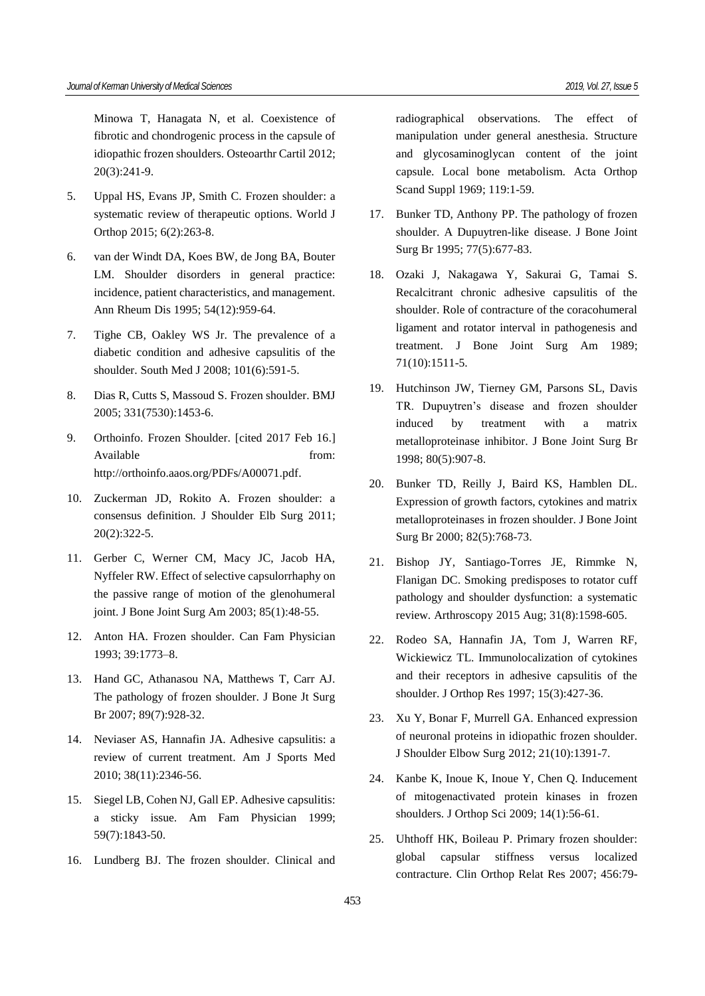Minowa T, Hanagata N, et al. Coexistence of fibrotic and chondrogenic process in the capsule of idiopathic frozen shoulders. Osteoarthr Cartil 2012; 20(3):241-9.

- 5. Uppal HS, Evans JP, Smith C. Frozen shoulder: a systematic review of therapeutic options. World J Orthop 2015; 6(2):263-8.
- 6. van der Windt DA, Koes BW, de Jong BA, Bouter LM. Shoulder disorders in general practice: incidence, patient characteristics, and management. Ann Rheum Dis 1995; 54(12):959-64.
- 7. Tighe CB, Oakley WS Jr. The prevalence of a diabetic condition and adhesive capsulitis of the shoulder. South Med J 2008; 101(6):591-5.
- 8. Dias R, Cutts S, Massoud S. Frozen shoulder. BMJ 2005; 331(7530):1453-6.
- 9. Orthoinfo. Frozen Shoulder. [cited 2017 Feb 16.] Available from: http://orthoinfo.aaos.org/PDFs/A00071.pdf.
- 10. Zuckerman JD, Rokito A. Frozen shoulder: a consensus definition. J Shoulder Elb Surg 2011; 20(2):322-5.
- 11. Gerber C, Werner CM, Macy JC, Jacob HA, Nyffeler RW. Effect of selective capsulorrhaphy on the passive range of motion of the glenohumeral joint. J Bone Joint Surg Am 2003; 85(1):48-55.
- 12. Anton HA. Frozen shoulder. Can Fam Physician 1993; 39:1773–8.
- 13. Hand GC, Athanasou NA, Matthews T, Carr AJ. The pathology of frozen shoulder. J Bone Jt Surg Br 2007; 89(7):928-32.
- 14. Neviaser AS, Hannafin JA. Adhesive capsulitis: a review of current treatment. Am J Sports Med 2010; 38(11):2346-56.
- 15. Siegel LB, Cohen NJ, Gall EP. Adhesive capsulitis: a sticky issue. Am Fam Physician 1999; 59(7):1843-50.
- 16. Lundberg BJ. The frozen shoulder. Clinical and

radiographical observations. The effect of manipulation under general anesthesia. Structure and glycosaminoglycan content of the joint capsule. Local bone metabolism. Acta Orthop Scand Suppl 1969; 119:1-59.

- 17. Bunker TD, Anthony PP. The pathology of frozen shoulder. A Dupuytren-like disease. J Bone Joint Surg Br 1995; 77(5):677-83.
- 18. Ozaki J, Nakagawa Y, Sakurai G, Tamai S. Recalcitrant chronic adhesive capsulitis of the shoulder. Role of contracture of the coracohumeral ligament and rotator interval in pathogenesis and treatment. J Bone Joint Surg Am 1989; 71(10):1511-5.
- 19. Hutchinson JW, Tierney GM, Parsons SL, Davis TR. Dupuytren's disease and frozen shoulder induced by treatment with a matrix metalloproteinase inhibitor. J Bone Joint Surg Br 1998; 80(5):907-8.
- 20. Bunker TD, Reilly J, Baird KS, Hamblen DL. Expression of growth factors, cytokines and matrix metalloproteinases in frozen shoulder. J Bone Joint Surg Br 2000; 82(5):768-73.
- 21. Bishop JY, Santiago-Torres JE, Rimmke N, Flanigan DC. Smoking predisposes to rotator cuff pathology and shoulder dysfunction: a systematic review. Arthroscopy 2015 Aug; 31(8):1598-605.
- 22. Rodeo SA, Hannafin JA, Tom J, Warren RF, Wickiewicz TL. Immunolocalization of cytokines and their receptors in adhesive capsulitis of the shoulder. J Orthop Res 1997; 15(3):427-36.
- 23. Xu Y, Bonar F, Murrell GA. Enhanced expression of neuronal proteins in idiopathic frozen shoulder. J Shoulder Elbow Surg 2012; 21(10):1391-7.
- 24. Kanbe K, Inoue K, Inoue Y, Chen Q. Inducement of mitogenactivated protein kinases in frozen shoulders. J Orthop Sci 2009; 14(1):56-61.
- 25. Uhthoff HK, Boileau P. Primary frozen shoulder: global capsular stiffness versus localized contracture. Clin Orthop Relat Res 2007; 456:79-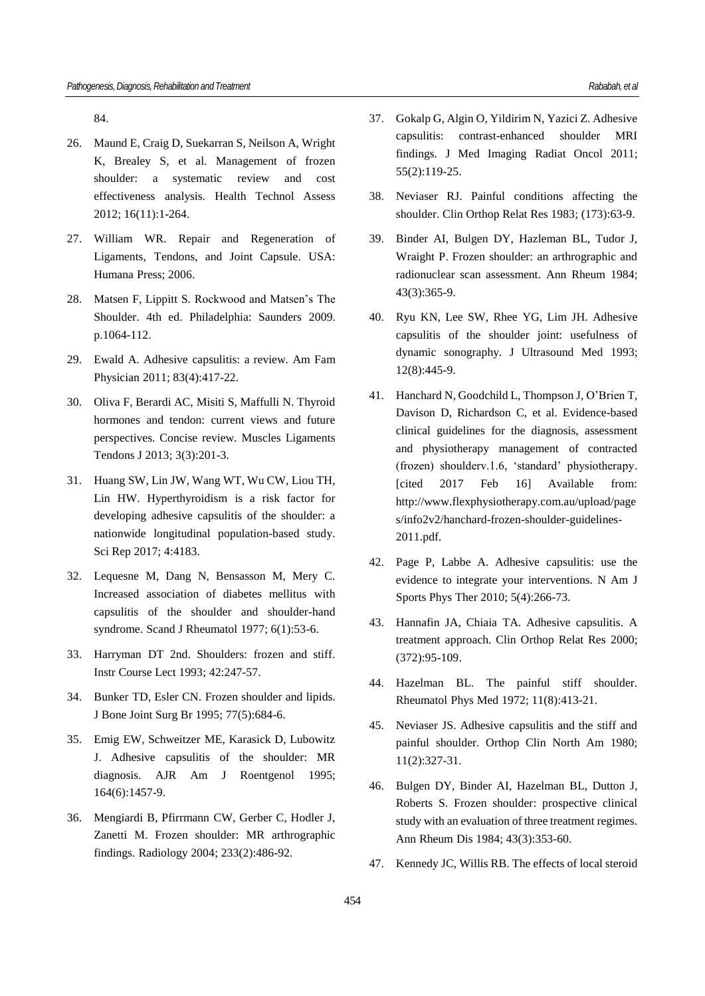84.

- 26. Maund E, Craig D, Suekarran S, Neilson A, Wright K, Brealey S, et al. Management of frozen shoulder: a systematic review and cost effectiveness analysis. Health Technol Assess 2012; 16(11):1-264.
- 27. William WR. Repair and Regeneration of Ligaments, Tendons, and Joint Capsule. USA: Humana Press; 2006.
- 28. Matsen F, Lippitt S. Rockwood and Matsen's The Shoulder. 4th ed. Philadelphia: Saunders 2009. p.1064-112.
- 29. Ewald A. Adhesive capsulitis: a review. Am Fam Physician 2011; 83(4):417-22.
- 30. Oliva F, Berardi AC, Misiti S, Maffulli N. Thyroid hormones and tendon: current views and future perspectives. Concise review. Muscles Ligaments Tendons J 2013; 3(3):201-3.
- 31. Huang SW, Lin JW, Wang WT, Wu CW, Liou TH, Lin HW. Hyperthyroidism is a risk factor for developing adhesive capsulitis of the shoulder: a nationwide longitudinal population-based study. Sci Rep 2017; 4:4183.
- 32. Lequesne M, Dang N, Bensasson M, Mery C. Increased association of diabetes mellitus with capsulitis of the shoulder and shoulder-hand syndrome. Scand J Rheumatol 1977; 6(1):53-6.
- 33. Harryman DT 2nd. Shoulders: frozen and stiff. Instr Course Lect 1993; 42:247-57.
- 34. Bunker TD, Esler CN. Frozen shoulder and lipids. J Bone Joint Surg Br 1995; 77(5):684-6.
- 35. Emig EW, Schweitzer ME, Karasick D, Lubowitz J. Adhesive capsulitis of the shoulder: MR diagnosis. AJR Am J Roentgenol 1995; 164(6):1457-9.
- 36. Mengiardi B, Pfirrmann CW, Gerber C, Hodler J, Zanetti M. Frozen shoulder: MR arthrographic findings. Radiology 2004; 233(2):486-92.
- 37. Gokalp G, Algin O, Yildirim N, Yazici Z. Adhesive capsulitis: contrast-enhanced shoulder MRI findings. J Med Imaging Radiat Oncol 2011; 55(2):119-25.
- 38. Neviaser RJ. Painful conditions affecting the shoulder. Clin Orthop Relat Res 1983; (173):63-9.
- 39. Binder AI, Bulgen DY, Hazleman BL, Tudor J, Wraight P. Frozen shoulder: an arthrographic and radionuclear scan assessment. Ann Rheum 1984; 43(3):365-9.
- 40. Ryu KN, Lee SW, Rhee YG, Lim JH. Adhesive capsulitis of the shoulder joint: usefulness of dynamic sonography. J Ultrasound Med 1993; 12(8):445-9.
- 41. Hanchard N, Goodchild L, Thompson J, O'Brien T, Davison D, Richardson C, et al. Evidence-based clinical guidelines for the diagnosis, assessment and physiotherapy management of contracted (frozen) shoulderv.1.6, 'standard' physiotherapy. [cited 2017 Feb 16] Available from: http://www.flexphysiotherapy.com.au/upload/page s/info2v2/hanchard-frozen-shoulder-guidelines-2011.pdf.
- 42. Page P, Labbe A. Adhesive capsulitis: use the evidence to integrate your interventions. N Am J Sports Phys Ther 2010; 5(4):266-73.
- 43. Hannafin JA, Chiaia TA. Adhesive capsulitis. A treatment approach. Clin Orthop Relat Res 2000; (372):95-109.
- 44. Hazelman BL. The painful stiff shoulder. Rheumatol Phys Med 1972; 11(8):413-21.
- 45. Neviaser JS. Adhesive capsulitis and the stiff and painful shoulder. Orthop Clin North Am 1980; 11(2):327-31.
- 46. Bulgen DY, Binder AI, Hazelman BL, Dutton J, Roberts S. Frozen shoulder: prospective clinical study with an evaluation of three treatment regimes. Ann Rheum Dis 1984; 43(3):353-60.
- 47. Kennedy JC, Willis RB. The effects of local steroid